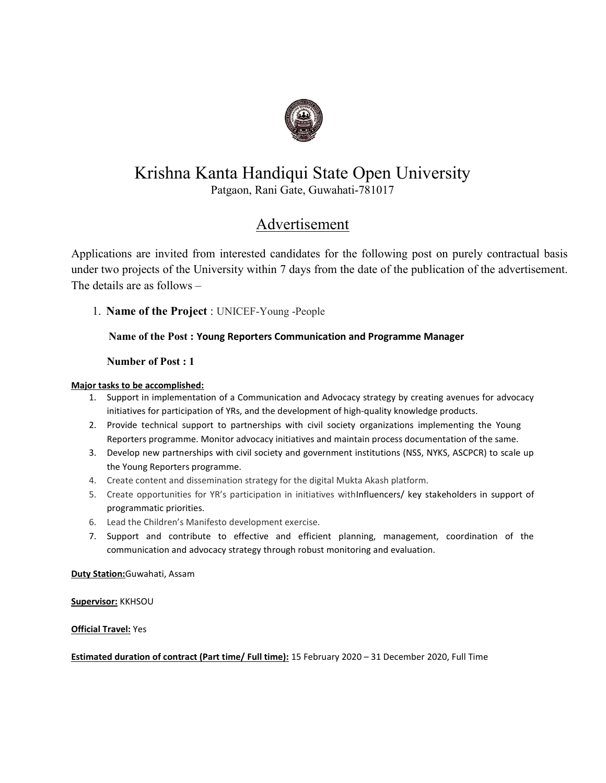

# Krishna Kanta Handiqui State Open University

Patgaon, Rani Gate, Guwahati-781017

# Advertisement

Applications are invited from interested candidates for the following post on purely contractual basis under two projects of the University within 7 days from the date of the publication of the advertisement. The details are as follows –

1. Name of the Project : UNICEF-Young -People

# Name of the Post : Young Reporters Communication and Programme Manager

Number of Post : 1

## Major tasks to be accomplished:

- 1. Support in implementation of a Communication and Advocacy strategy by creating avenues for advocacy initiatives for participation of YRs, and the development of high-quality knowledge products.
- 2. Provide technical support to partnerships with civil society organizations implementing the Young Reporters programme. Monitor advocacy initiatives and maintain process documentation of the same.
- 3. Develop new partnerships with civil society and government institutions (NSS, NYKS, ASCPCR) to scale up the Young Reporters programme.
- 4. Create content and dissemination strategy for the digital Mukta Akash platform.
- 5. Create opportunities for YR's participation in initiatives withInfluencers/ key stakeholders in support of programmatic priorities.
- 6. Lead the Children's Manifesto development exercise.
- 7. Support and contribute to effective and efficient planning, management, coordination of the communication and advocacy strategy through robust monitoring and evaluation.

Duty Station:Guwahati, Assam

Supervisor: KKHSOU

### Official Travel: Yes

Estimated duration of contract (Part time/ Full time): 15 February 2020 – 31 December 2020, Full Time